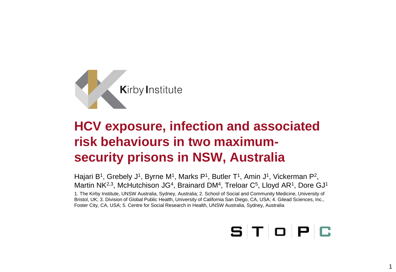

# **HCV exposure, infection and associated risk behaviours in two maximumsecurity prisons in NSW, Australia**

Hajari B<sup>1</sup>, Grebely J<sup>1</sup>, Byrne M<sup>1</sup>, Marks P<sup>1</sup>, Butler T<sup>1</sup>, Amin J<sup>1</sup>, Vickerman P<sup>2</sup>, Martin NK<sup>2,3</sup>, McHutchison JG<sup>4</sup>, Brainard DM<sup>4</sup>, Treloar C<sup>5</sup>, Lloyd AR<sup>1</sup>, Dore GJ<sup>1</sup> 1. The Kirby Institute, UNSW Australia, Sydney, Australia; 2. School of Social and Community Medicine, University of Bristol, UK; 3. Division of Global Public Health, University of California San Diego, CA, USA; 4. Gilead Sciences, Inc., Foster City, CA, USA; 5. Centre for Social Research in Health, UNSW Australia, Sydney, Australia

# $S$   $T$   $O$   $P$   $C$

1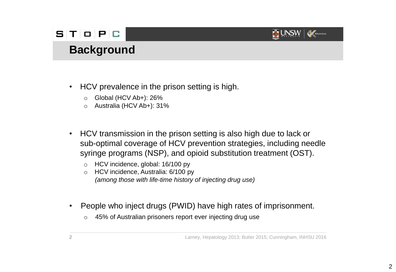#### $S$   $T$   $O$   $P$   $G$



## **Background**

- HCV prevalence in the prison setting is high.
	- o Global (HCV Ab+): 26%
	- o Australia (HCV Ab+): 31%
- HCV transmission in the prison setting is also high due to lack or sub-optimal coverage of HCV prevention strategies, including needle syringe programs (NSP), and opioid substitution treatment (OST).
	- o HCV incidence, global: 16/100 py
	- o HCV incidence, Australia: 6/100 py *(among those with life-time history of injecting drug use)*
- People who inject drugs (PWID) have high rates of imprisonment.
	- o 45% of Australian prisoners report ever injecting drug use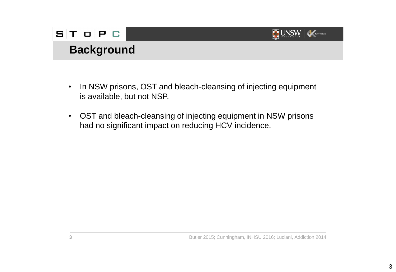

# **Background**

- In NSW prisons, OST and bleach-cleansing of injecting equipment is available, but not NSP.
- OST and bleach-cleansing of injecting equipment in NSW prisons had no significant impact on reducing HCV incidence.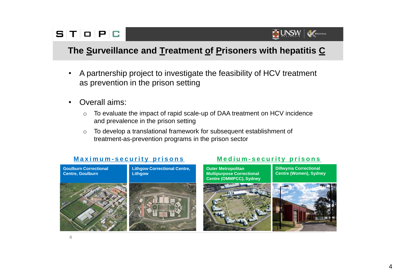

#### **The Surveillance and Treatment of Prisoners with hepatitis C**

- A partnership project to investigate the feasibility of HCV treatment as prevention in the prison setting
- Overall aims:
	- o To evaluate the impact of rapid scale-up of DAA treatment on HCV incidence and prevalence in the prison setting
	- o To develop a translational framework for subsequent establishment of treatment-as-prevention programs in the prison sector

#### **Maximum-security prisons Medium-security prisons**





**Dillwynia Correctional Centre (Women), Sydney**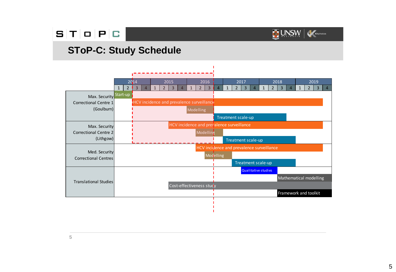#### $S$   $T$   $O$   $P$   $C$



#### **SToP-C: Study Schedule**



**5**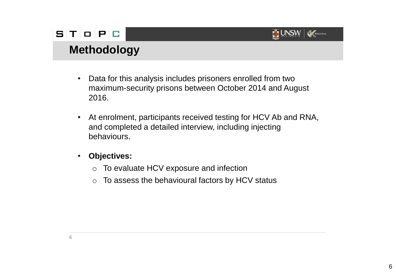#### $S$   $T$   $O$   $P$   $C$



# **Methodology**

- Data for this analysis includes prisoners enrolled from two maximum-security prisons between October 2014 and August 2016.
- At enrolment, participants received testing for HCV Ab and RNA, and completed a detailed interview, including injecting behaviours.
- **Objectives:**
	- o To evaluate HCV exposure and infection
	- $\circ$  To assess the behavioural factors by HCV status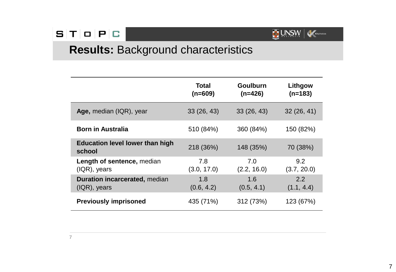

# **Results:** Background characteristics

|                                                         | Total<br>$(n=609)$ | <b>Goulburn</b><br>$(n=426)$ | Lithgow<br>$(n=183)$ |
|---------------------------------------------------------|--------------------|------------------------------|----------------------|
| Age, median (IQR), year                                 | 33(26, 43)         | 33(26, 43)                   | 32(26, 41)           |
| <b>Born in Australia</b>                                | 510 (84%)          | 360 (84%)                    | 150 (82%)            |
| <b>Education level lower than high</b><br>school        | 218 (36%)          | 148 (35%)                    | 70 (38%)             |
| Length of sentence, median<br>$( IQR),$ years           | 7.8<br>(3.0, 17.0) | 7.0<br>(2.2, 16.0)           | 9.2<br>(3.7, 20.0)   |
| <b>Duration incarcerated, median</b><br>$( IQR),$ years | 1.8<br>(0.6, 4.2)  | 1.6<br>(0.5, 4.1)            | 2.2<br>(1.1, 4.4)    |
| <b>Previously imprisoned</b>                            | 435 (71%)          | 312 (73%)                    | 123 (67%)            |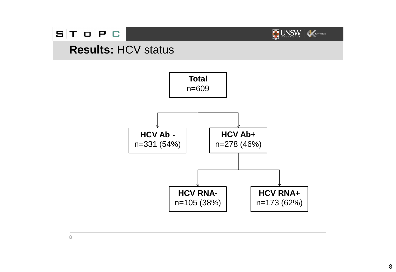#### $S$   $T$   $O$   $P$   $C$



#### **Results:** HCV status

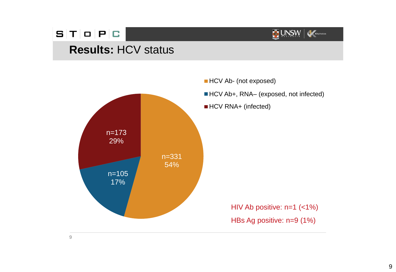#### $S|T|O|P|C$



## **Results:** HCV status



**HCV Ab- (not exposed)** 

■ HCV Ab+, RNA– (exposed, not infected)

■ HCV RNA+ (infected)

HIV Ab positive: n=1 (<1%) HBs Ag positive: n=9 (1%)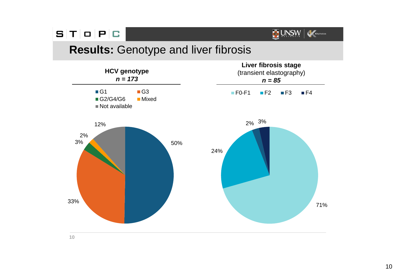

#### **Results:** Genotype and liver fibrosis

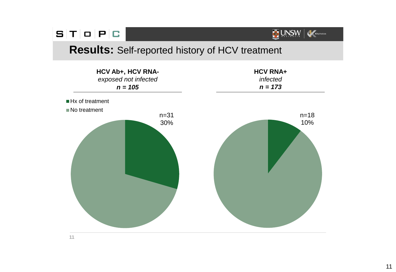#### **Results:** Self-reported history of HCV treatment

UNSW Kerty Institute



**11**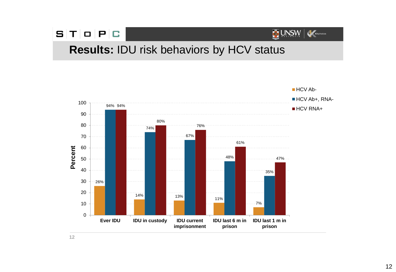

#### **Results:** IDU risk behaviors by HCV status

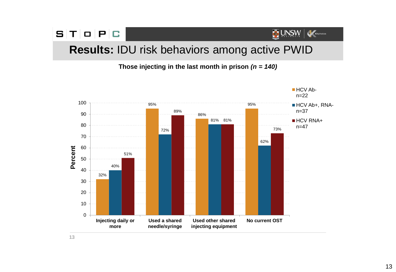#### $S[T|O|P|C$ UNSW Ketylnstitute **Results:** IDU risk behaviors among active PWID

**Those injecting in the last month in prison** *(n = 140)*

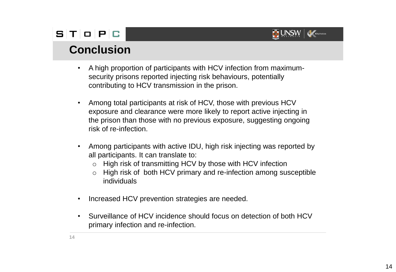

#### **Conclusion**

- A high proportion of participants with HCV infection from maximumsecurity prisons reported injecting risk behaviours, potentially contributing to HCV transmission in the prison.
- Among total participants at risk of HCV, those with previous HCV exposure and clearance were more likely to report active injecting in the prison than those with no previous exposure, suggesting ongoing risk of re-infection.
- Among participants with active IDU, high risk injecting was reported by all participants. It can translate to:
	- o High risk of transmitting HCV by those with HCV infection
	- o High risk of both HCV primary and re-infection among susceptible individuals
- Increased HCV prevention strategies are needed.
- Surveillance of HCV incidence should focus on detection of both HCV primary infection and re-infection.